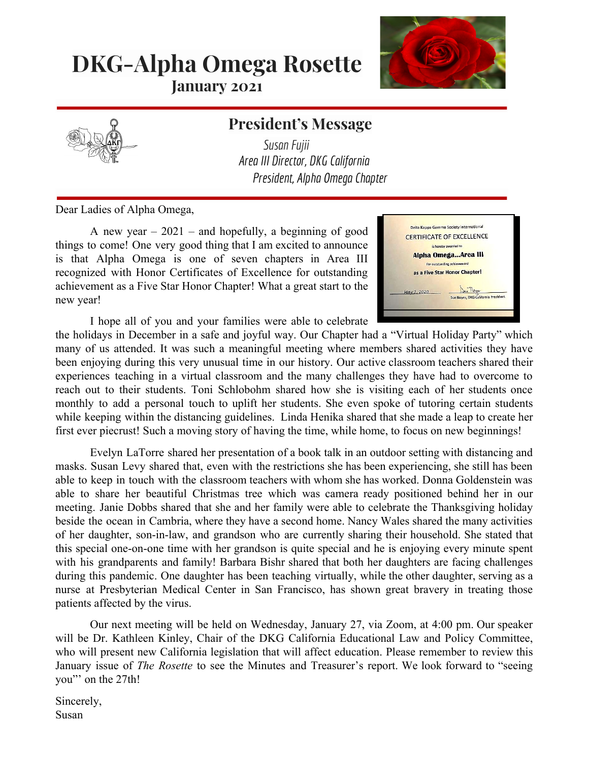# **DKG-Alpha Omega Rosette**

**January 2021**



### **President's Message**

*SusanFujii Area III Director, DKG California President, Alpha Omega Chapter*

Dear Ladies of Alpha Omega,

A new year  $-2021$  – and hopefully, a beginning of good things to come! One very good thing that I am excited to announce is that Alpha Omega is one of seven chapters in Area III recognized with Honor Certificates of Excellence for outstanding achievement as a Five Star Honor Chapter! What a great start to the new year!



I hope all of you and your families were able to celebrate

the holidays in December in a safe and joyful way. Our Chapter had a "Virtual Holiday Party" which many of us attended. It was such a meaningful meeting where members shared activities they have been enjoying during this very unusual time in our history. Our active classroom teachers shared their experiences teaching in a virtual classroom and the many challenges they have had to overcome to reach out to their students. Toni Schlobohm shared how she is visiting each of her students once monthly to add a personal touch to uplift her students. She even spoke of tutoring certain students while keeping within the distancing guidelines. Linda Henika shared that she made a leap to create her first ever piecrust! Such a moving story of having the time, while home, to focus on new beginnings!

Evelyn LaTorre shared her presentation of a book talk in an outdoor setting with distancing and masks. Susan Levy shared that, even with the restrictions she has been experiencing, she still has been able to keep in touch with the classroom teachers with whom she has worked. Donna Goldenstein was able to share her beautiful Christmas tree which was camera ready positioned behind her in our meeting. Janie Dobbs shared that she and her family were able to celebrate the Thanksgiving holiday beside the ocean in Cambria, where they have a second home. Nancy Wales shared the many activities of her daughter, son-in-law, and grandson who are currently sharing their household. She stated that this special one-on-one time with her grandson is quite special and he is enjoying every minute spent with his grandparents and family! Barbara Bishr shared that both her daughters are facing challenges during this pandemic. One daughter has been teaching virtually, while the other daughter, serving as a nurse at Presbyterian Medical Center in San Francisco, has shown great bravery in treating those patients affected by the virus.

Our next meeting will be held on Wednesday, January 27, via Zoom, at 4:00 pm. Our speaker will be Dr. Kathleen Kinley, Chair of the DKG California Educational Law and Policy Committee, who will present new California legislation that will affect education. Please remember to review this January issue of *The Rosette* to see the Minutes and Treasurer's report. We look forward to "seeing you"' on the 27th!

Sincerely, Susan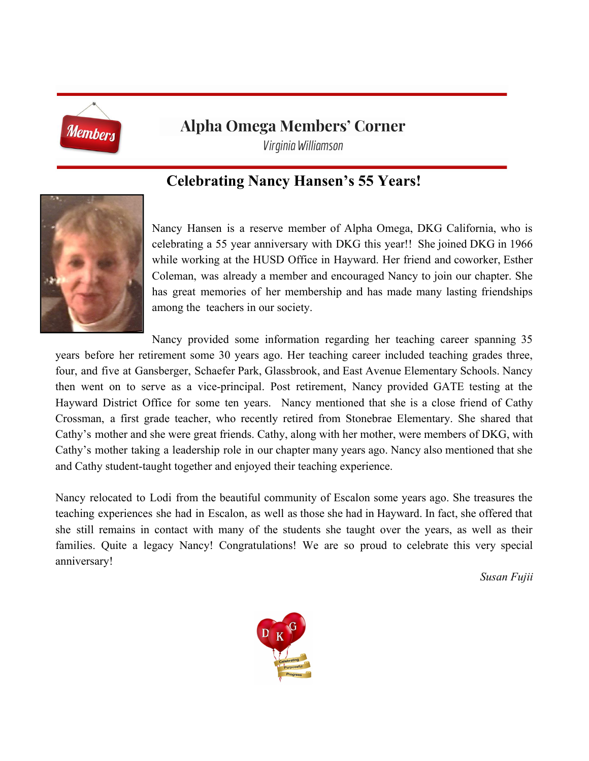

### **Alpha Omega Members' Corner**

*Virginia Williamson*

### **Celebrating Nancy Hansen's 55 Years!**



Nancy Hansen is a reserve member of Alpha Omega, DKG California, who is celebrating a 55 year anniversary with DKG this year!! She joined DKG in 1966 while working at the HUSD Office in Hayward. Her friend and coworker, Esther Coleman, was already a member and encouraged Nancy to join our chapter. She has great memories of her membership and has made many lasting friendships among the teachers in our society.

Nancy provided some information regarding her teaching career spanning 35 years before her retirement some 30 years ago. Her teaching career included teaching grades three, four, and five at Gansberger, Schaefer Park, Glassbrook, and East Avenue Elementary Schools. Nancy then went on to serve as a vice-principal. Post retirement, Nancy provided GATE testing at the Hayward District Office for some ten years. Nancy mentioned that she is a close friend of Cathy Crossman, a first grade teacher, who recently retired from Stonebrae Elementary. She shared that Cathy's mother and she were great friends. Cathy, along with her mother, were members of DKG, with Cathy's mother taking a leadership role in our chapter many years ago. Nancy also mentioned that she and Cathy student-taught together and enjoyed their teaching experience.

Nancy relocated to Lodi from the beautiful community of Escalon some years ago. She treasures the teaching experiences she had in Escalon, as well as those she had in Hayward. In fact, she offered that she still remains in contact with many of the students she taught over the years, as well as their families. Quite a legacy Nancy! Congratulations! We are so proud to celebrate this very special anniversary!

*Susan Fujii*

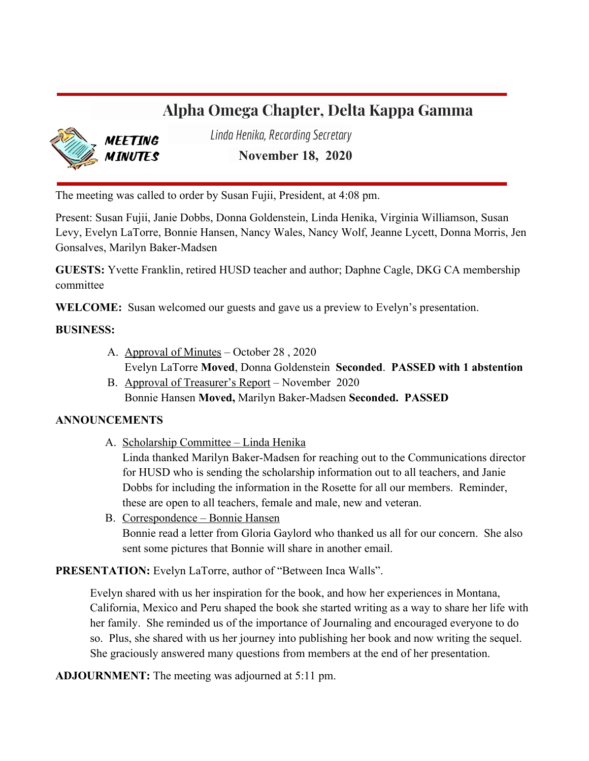### **Alpha Omega Chapter, Delta Kappa Gamma**



*Linda Henika, RecordingSecretary*

**November 18, 2020**

The meeting was called to order by Susan Fujii, President, at 4:08 pm.

Present: Susan Fujii, Janie Dobbs, Donna Goldenstein, Linda Henika, Virginia Williamson, Susan Levy, Evelyn LaTorre, Bonnie Hansen, Nancy Wales, Nancy Wolf, Jeanne Lycett, Donna Morris, Jen Gonsalves, Marilyn Baker-Madsen

**GUESTS:** Yvette Franklin, retired HUSD teacher and author; Daphne Cagle, DKG CA membership committee

**WELCOME:** Susan welcomed our guests and gave us a preview to Evelyn's presentation.

#### **BUSINESS:**

- A. Approval of Minutes October 28 , 2020 Evelyn LaTorre **Moved**, Donna Goldenstein **Seconded**. **PASSED with 1 abstention**
- B. Approval of Treasurer's Report November 2020 Bonnie Hansen **Moved,** Marilyn Baker-Madsen **Seconded. PASSED**

#### **ANNOUNCEMENTS**

A. Scholarship Committee – Linda Henika

Linda thanked Marilyn Baker-Madsen for reaching out to the Communications director for HUSD who is sending the scholarship information out to all teachers, and Janie Dobbs for including the information in the Rosette for all our members. Reminder, these are open to all teachers, female and male, new and veteran.

B. Correspondence – Bonnie Hansen Bonnie read a letter from Gloria Gaylord who thanked us all for our concern. She also sent some pictures that Bonnie will share in another email.

**PRESENTATION:** Evelyn LaTorre, author of "Between Inca Walls".

Evelyn shared with us her inspiration for the book, and how her experiences in Montana, California, Mexico and Peru shaped the book she started writing as a way to share her life with her family. She reminded us of the importance of Journaling and encouraged everyone to do so. Plus, she shared with us her journey into publishing her book and now writing the sequel. She graciously answered many questions from members at the end of her presentation.

**ADJOURNMENT:** The meeting was adjourned at 5:11 pm.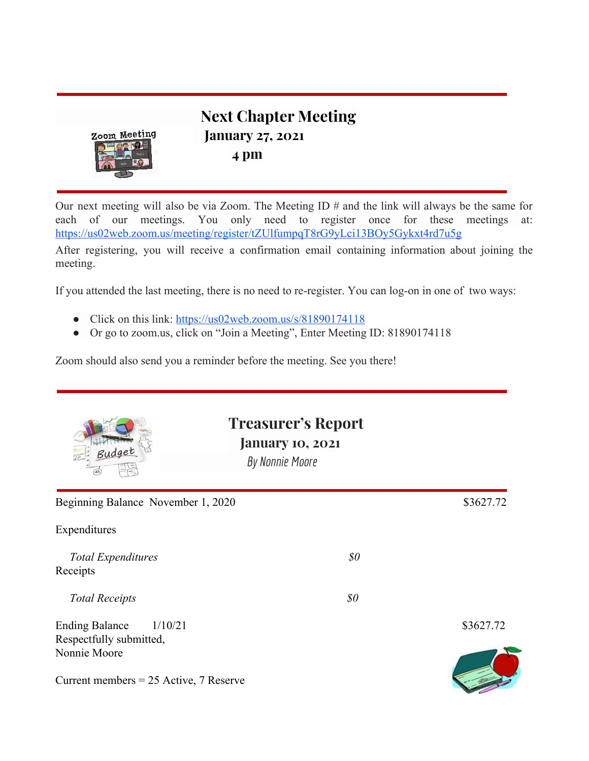

**Next Chapter Meeting January 27, 2021 4 pm**

Our next meeting will also be via Zoom. The Meeting ID # and the link will always be the same for each of our meetings. You only need to register once for these meetings at: <https://us02web.zoom.us/meeting/register/tZUlfumpqT8rG9yLci13BOy5Gykxt4rd7u5g>

After registering, you will receive a confirmation email containing information about joining the meeting.

If you attended the last meeting, there is no need to re-register. You can log-on in one of two ways:

- Click on this link: <https://us02web.zoom.us/s/81890174118>
- Or go to zoom.us, click on "Join a Meeting", Enter Meeting ID: 81890174118

Zoom should also send you a reminder before the meeting. See you there!

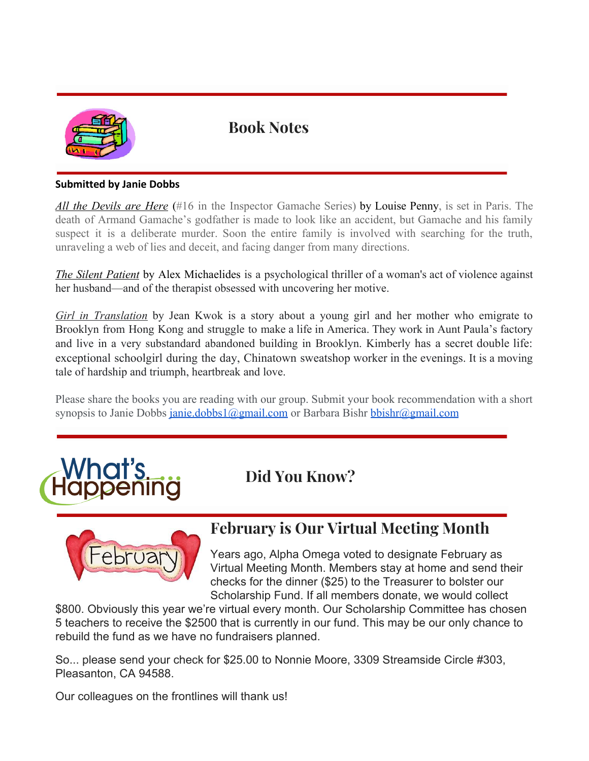

### **Book Notes**

#### **Submitted by Janie Dobbs**

*All the Devils are Here* (#16 in the Inspector Gamache Series) by Louise Penny, is set in Paris. The death of Armand Gamache's godfather is made to look like an accident, but Gamache and his family suspect it is a deliberate murder. Soon the entire family is involved with searching for the truth, unraveling a web of lies and deceit, and facing danger from many directions.

*The Silent Patient* by Alex Michaelides is a psychological thriller of a woman's act of violence against her husband—and of the therapist obsessed with uncovering her motive.

*Girl in Translation* by Jean Kwok is a story about a young girl and her mother who emigrate to Brooklyn from Hong Kong and struggle to make a life in America. They work in Aunt Paula's factory and live in a very substandard abandoned building in Brooklyn. Kimberly has a secret double life: exceptional schoolgirl during the day, Chinatown sweatshop worker in the evenings. It is a moving tale of hardship and triumph, heartbreak and love.

Please share the books you are reading with our group. Submit your book recommendation with a short synopsis to Janie Dobbs [janie.dobbs1@gmail.com](mailto:janie.dobbs1@gmail.com) or Barbara Bishr [bbishr@gmail.com](mailto:bbishr@gmail.com)

**Did You Know?**



### **February is Our Virtual Meeting Month**

Years ago, Alpha Omega voted to designate February as Virtual Meeting Month. Members stay at home and send their checks for the dinner (\$25) to the Treasurer to bolster our Scholarship Fund. If all members donate, we would collect

\$800. Obviously this year we're virtual every month. Our Scholarship Committee has chosen 5 teachers to receive the \$2500 that is currently in our fund. This may be our only chance to rebuild the fund as we have no fundraisers planned.

So... please send your check for \$25.00 to Nonnie Moore, 3309 Streamside Circle #303, Pleasanton, CA 94588.

Our colleagues on the frontlines will thank us!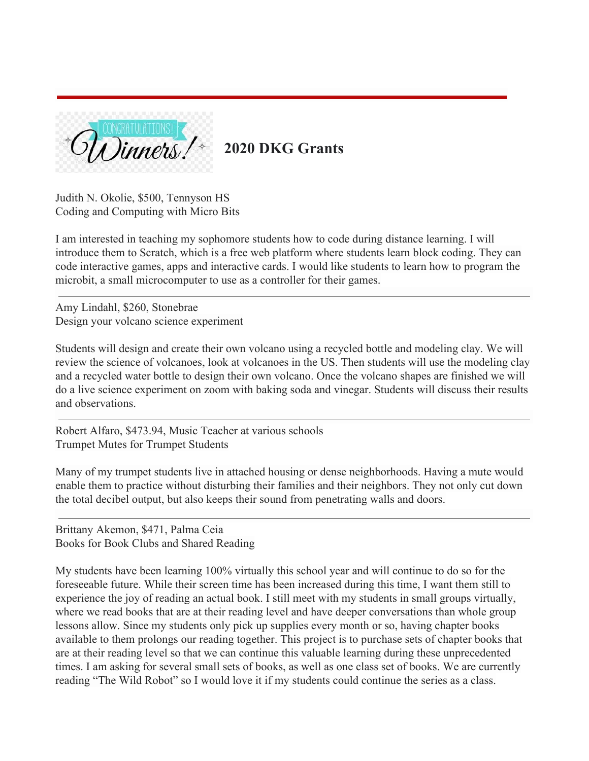

### **2020 DKG Grants**

Judith N. Okolie, \$500, Tennyson HS Coding and Computing with Micro Bits

I am interested in teaching my sophomore students how to code during distance learning. I will introduce them to Scratch, which is a free web platform where students learn block coding. They can code interactive games, apps and interactive cards. I would like students to learn how to program the microbit, a small microcomputer to use as a controller for their games.

Amy Lindahl, \$260, Stonebrae Design your volcano science experiment

Students will design and create their own volcano using a recycled bottle and modeling clay. We will review the science of volcanoes, look at volcanoes in the US. Then students will use the modeling clay and a recycled water bottle to design their own volcano. Once the volcano shapes are finished we will do a live science experiment on zoom with baking soda and vinegar. Students will discuss their results and observations.

Robert Alfaro, \$473.94, Music Teacher at various schools Trumpet Mutes for Trumpet Students

Many of my trumpet students live in attached housing or dense neighborhoods. Having a mute would enable them to practice without disturbing their families and their neighbors. They not only cut down the total decibel output, but also keeps their sound from penetrating walls and doors.

Brittany Akemon, \$471, Palma Ceia Books for Book Clubs and Shared Reading

My students have been learning 100% virtually this school year and will continue to do so for the foreseeable future. While their screen time has been increased during this time, I want them still to experience the joy of reading an actual book. I still meet with my students in small groups virtually, where we read books that are at their reading level and have deeper conversations than whole group lessons allow. Since my students only pick up supplies every month or so, having chapter books available to them prolongs our reading together. This project is to purchase sets of chapter books that are at their reading level so that we can continue this valuable learning during these unprecedented times. I am asking for several small sets of books, as well as one class set of books. We are currently reading "The Wild Robot" so I would love it if my students could continue the series as a class.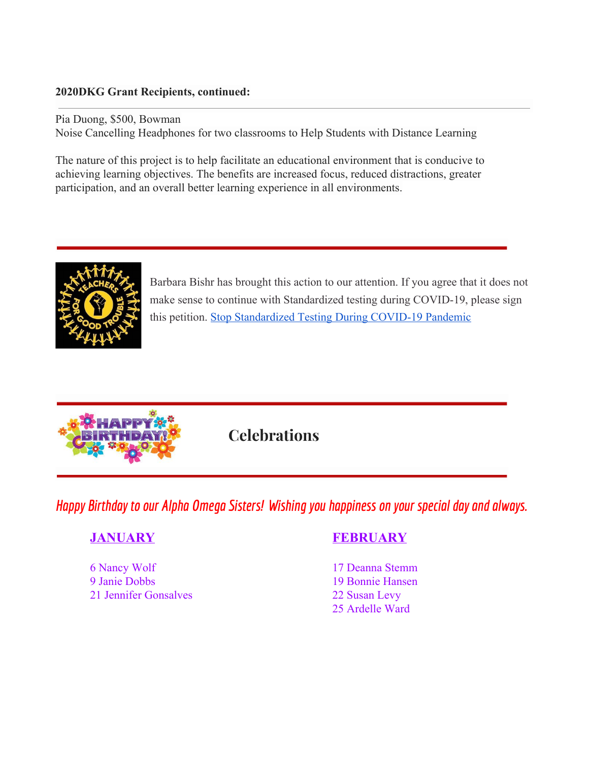#### **2020DKG Grant Recipients, continued:**

Pia Duong, \$500, Bowman Noise Cancelling Headphones for two classrooms to Help Students with Distance Learning

The nature of this project is to help facilitate an educational environment that is conducive to achieving learning objectives. The benefits are increased focus, reduced distractions, greater participation, and an overall better learning experience in all environments.



Barbara Bishr has brought this action to our attention. If you agree that it does not make sense to continue with Standardized testing during COVID-19, please sign this petition. [Stop Standardized Testing During COVID-19 Pandemic](https://www.change.org/p/betsy-devos-teachers-for-good-trouble-stop-standardized-testing-during-covid-19-pandemic/psf/promote_or_share)



**Celebrations**

*Happy* Birthday to our *Alpha Omega Sisters!* Wishing you happiness on your special day and always.

6 Nancy Wolf 17 Deanna Stemm 9 Janie Dobbs 19 Bonnie Hansen 21 Jennifer Gonsalves 22 Susan Levy

### **JANUARY FEBRUARY**

25 Ardelle Ward